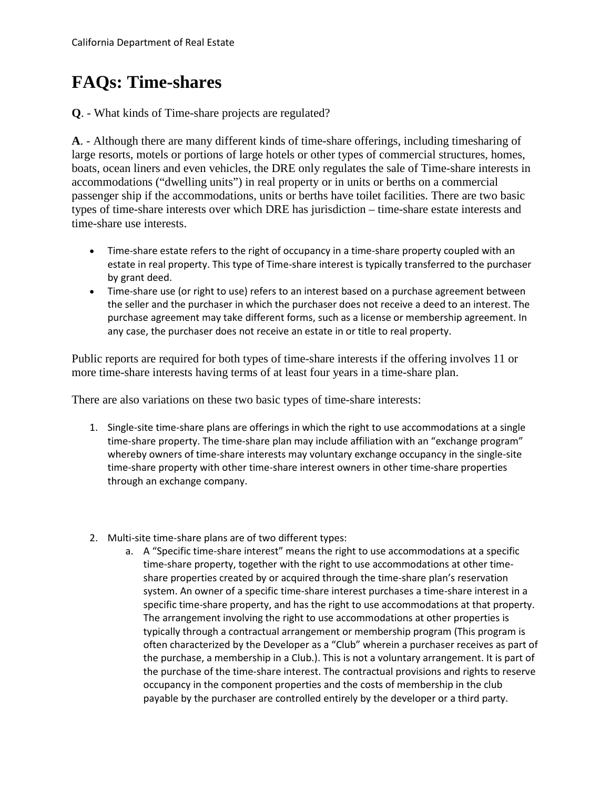## **FAQs: Time-shares**

**Q**. - What kinds of Time-share projects are regulated?

**A**. - Although there are many different kinds of time-share offerings, including timesharing of large resorts, motels or portions of large hotels or other types of commercial structures, homes, boats, ocean liners and even vehicles, the DRE only regulates the sale of Time-share interests in accommodations ("dwelling units") in real property or in units or berths on a commercial passenger ship if the accommodations, units or berths have toilet facilities. There are two basic types of time-share interests over which DRE has jurisdiction – time-share estate interests and time-share use interests.

- • Time-share estate refers to the right of occupancy in a time-share property coupled with an estate in real property. This type of Time-share interest is typically transferred to the purchaser by grant deed.
- • Time-share use (or right to use) refers to an interest based on a purchase agreement between the seller and the purchaser in which the purchaser does not receive a deed to an interest. The purchase agreement may take different forms, such as a license or membership agreement. In any case, the purchaser does not receive an estate in or title to real property.

Public reports are required for both types of time-share interests if the offering involves 11 or more time-share interests having terms of at least four years in a time-share plan.

There are also variations on these two basic types of time-share interests:

- 1. Single-site time-share plans are offerings in which the right to use accommodations at a single time-share property. The time-share plan may include affiliation with an "exchange program" whereby owners of time-share interests may voluntary exchange occupancy in the single-site time-share property with other time-share interest owners in other time-share properties through an exchange company.
- 2. Multi-site time-share plans are of two different types:
	- a. A "Specific time-share interest" means the right to use accommodations at a specific specific time-share property, and has the right to use accommodations at that property. often characterized by the Developer as a "Club" wherein a purchaser receives as part of the purchase, a membership in a Club.). This is not a voluntary arrangement. It is part of occupancy in the component properties and the costs of membership in the club time-share property, together with the right to use accommodations at other timeshare properties created by or acquired through the time-share plan's reservation system. An owner of a specific time-share interest purchases a time-share interest in a The arrangement involving the right to use accommodations at other properties is typically through a contractual arrangement or membership program (This program is the purchase of the time-share interest. The contractual provisions and rights to reserve payable by the purchaser are controlled entirely by the developer or a third party.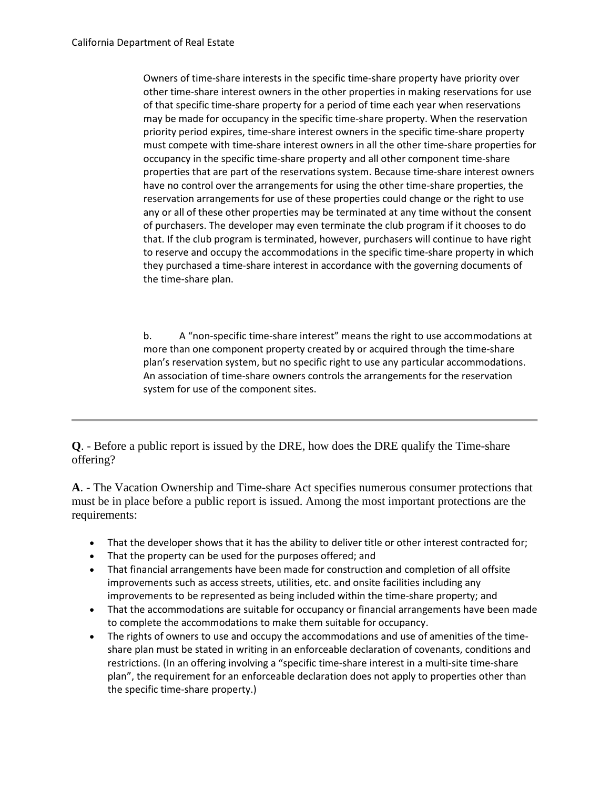other time-share interest owners in the other properties in making reservations for use of that specific time-share property for a period of time each year when reservations may be made for occupancy in the specific time-share property. When the reservation must compete with time-share interest owners in all the other time-share properties for occupancy in the specific time-share property and all other component time-share Owners of time-share interests in the specific time-share property have priority over priority period expires, time-share interest owners in the specific time-share property properties that are part of the reservations system. Because time-share interest owners have no control over the arrangements for using the other time-share properties, the reservation arrangements for use of these properties could change or the right to use any or all of these other properties may be terminated at any time without the consent of purchasers. The developer may even terminate the club program if it chooses to do that. If the club program is terminated, however, purchasers will continue to have right to reserve and occupy the accommodations in the specific time-share property in which they purchased a time-share interest in accordance with the governing documents of the time-share plan.

 b. A "non-specific time-share interest" means the right to use accommodations at plan's reservation system, but no specific right to use any particular accommodations. more than one component property created by or acquired through the time-share An association of time-share owners controls the arrangements for the reservation system for use of the component sites.

**Q**. - Before a public report is issued by the DRE, how does the DRE qualify the Time-share offering?

 **A**. - The Vacation Ownership and Time-share Act specifies numerous consumer protections that must be in place before a public report is issued. Among the most important protections are the requirements:

- That the developer shows that it has the ability to deliver title or other interest contracted for;
- That the property can be used for the purposes offered; and
- • That financial arrangements have been made for construction and completion of all offsite improvements such as access streets, utilities, etc. and onsite facilities including any improvements to be represented as being included within the time-share property; and
- • That the accommodations are suitable for occupancy or financial arrangements have been made to complete the accommodations to make them suitable for occupancy.
- • The rights of owners to use and occupy the accommodations and use of amenities of the time- share plan must be stated in writing in an enforceable declaration of covenants, conditions and restrictions. (In an offering involving a "specific time-share interest in a multi-site time-share plan", the requirement for an enforceable declaration does not apply to properties other than the specific time-share property.)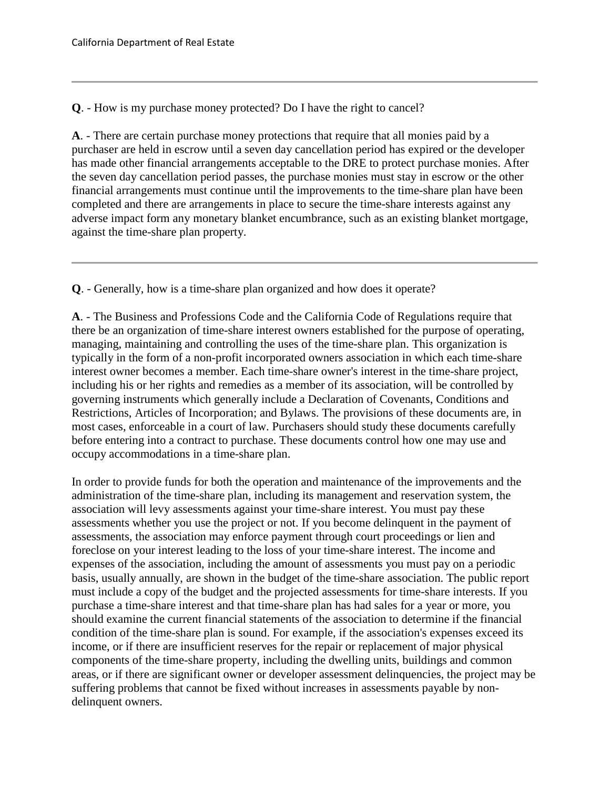**Q**. - How is my purchase money protected? Do I have the right to cancel?

 has made other financial arrangements acceptable to the DRE to protect purchase monies. After **A**. - There are certain purchase money protections that require that all monies paid by a purchaser are held in escrow until a seven day cancellation period has expired or the developer the seven day cancellation period passes, the purchase monies must stay in escrow or the other financial arrangements must continue until the improvements to the time-share plan have been completed and there are arrangements in place to secure the time-share interests against any adverse impact form any monetary blanket encumbrance, such as an existing blanket mortgage, against the time-share plan property.

**Q**. - Generally, how is a time-share plan organized and how does it operate?

**A**. - The Business and Professions Code and the California Code of Regulations require that there be an organization of time-share interest owners established for the purpose of operating, managing, maintaining and controlling the uses of the time-share plan. This organization is typically in the form of a non-profit incorporated owners association in which each time-share interest owner becomes a member. Each time-share owner's interest in the time-share project, including his or her rights and remedies as a member of its association, will be controlled by governing instruments which generally include a Declaration of Covenants, Conditions and Restrictions, Articles of Incorporation; and Bylaws. The provisions of these documents are, in most cases, enforceable in a court of law. Purchasers should study these documents carefully before entering into a contract to purchase. These documents control how one may use and occupy accommodations in a time-share plan.

 purchase a time-share interest and that time-share plan has had sales for a year or more, you In order to provide funds for both the operation and maintenance of the improvements and the administration of the time-share plan, including its management and reservation system, the association will levy assessments against your time-share interest. You must pay these assessments whether you use the project or not. If you become delinquent in the payment of assessments, the association may enforce payment through court proceedings or lien and foreclose on your interest leading to the loss of your time-share interest. The income and expenses of the association, including the amount of assessments you must pay on a periodic basis, usually annually, are shown in the budget of the time-share association. The public report must include a copy of the budget and the projected assessments for time-share interests. If you should examine the current financial statements of the association to determine if the financial condition of the time-share plan is sound. For example, if the association's expenses exceed its income, or if there are insufficient reserves for the repair or replacement of major physical components of the time-share property, including the dwelling units, buildings and common areas, or if there are significant owner or developer assessment delinquencies, the project may be suffering problems that cannot be fixed without increases in assessments payable by nondelinquent owners.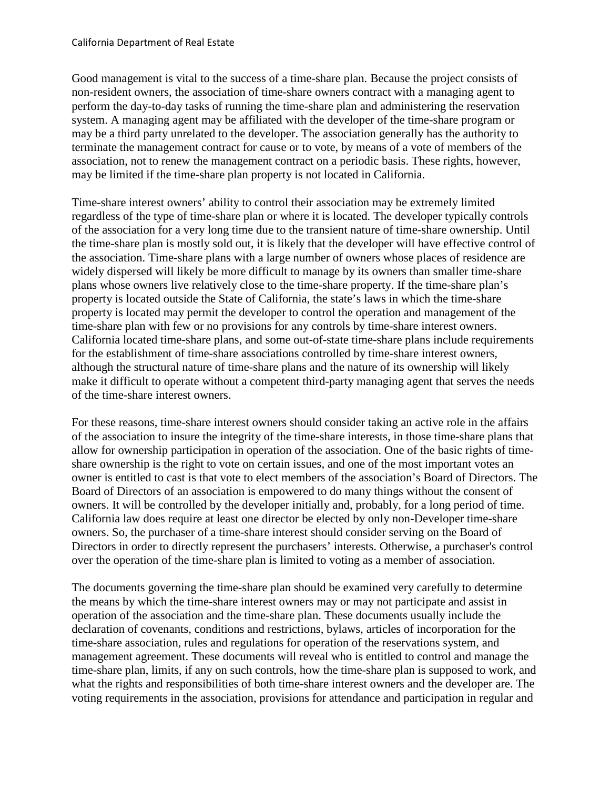non-resident owners, the association of time-share owners contract with a managing agent to system. A managing agent may be affiliated with the developer of the time-share program or Good management is vital to the success of a time-share plan. Because the project consists of perform the day-to-day tasks of running the time-share plan and administering the reservation may be a third party unrelated to the developer. The association generally has the authority to terminate the management contract for cause or to vote, by means of a vote of members of the association, not to renew the management contract on a periodic basis. These rights, however, may be limited if the time-share plan property is not located in California.

 the time-share plan is mostly sold out, it is likely that the developer will have effective control of Time-share interest owners' ability to control their association may be extremely limited regardless of the type of time-share plan or where it is located. The developer typically controls of the association for a very long time due to the transient nature of time-share ownership. Until the association. Time-share plans with a large number of owners whose places of residence are widely dispersed will likely be more difficult to manage by its owners than smaller time-share plans whose owners live relatively close to the time-share property. If the time-share plan's property is located outside the State of California, the state's laws in which the time-share property is located may permit the developer to control the operation and management of the time-share plan with few or no provisions for any controls by time-share interest owners. California located time-share plans, and some out-of-state time-share plans include requirements for the establishment of time-share associations controlled by time-share interest owners, although the structural nature of time-share plans and the nature of its ownership will likely make it difficult to operate without a competent third-party managing agent that serves the needs of the time-share interest owners.

For these reasons, time-share interest owners should consider taking an active role in the affairs of the association to insure the integrity of the time-share interests, in those time-share plans that allow for ownership participation in operation of the association. One of the basic rights of timeshare ownership is the right to vote on certain issues, and one of the most important votes an owner is entitled to cast is that vote to elect members of the association's Board of Directors. The Board of Directors of an association is empowered to do many things without the consent of owners. It will be controlled by the developer initially and, probably, for a long period of time. California law does require at least one director be elected by only non-Developer time-share owners. So, the purchaser of a time-share interest should consider serving on the Board of Directors in order to directly represent the purchasers' interests. Otherwise, a purchaser's control over the operation of the time-share plan is limited to voting as a member of association.

 what the rights and responsibilities of both time-share interest owners and the developer are. The The documents governing the time-share plan should be examined very carefully to determine the means by which the time-share interest owners may or may not participate and assist in operation of the association and the time-share plan. These documents usually include the declaration of covenants, conditions and restrictions, bylaws, articles of incorporation for the time-share association, rules and regulations for operation of the reservations system, and management agreement. These documents will reveal who is entitled to control and manage the time-share plan, limits, if any on such controls, how the time-share plan is supposed to work, and voting requirements in the association, provisions for attendance and participation in regular and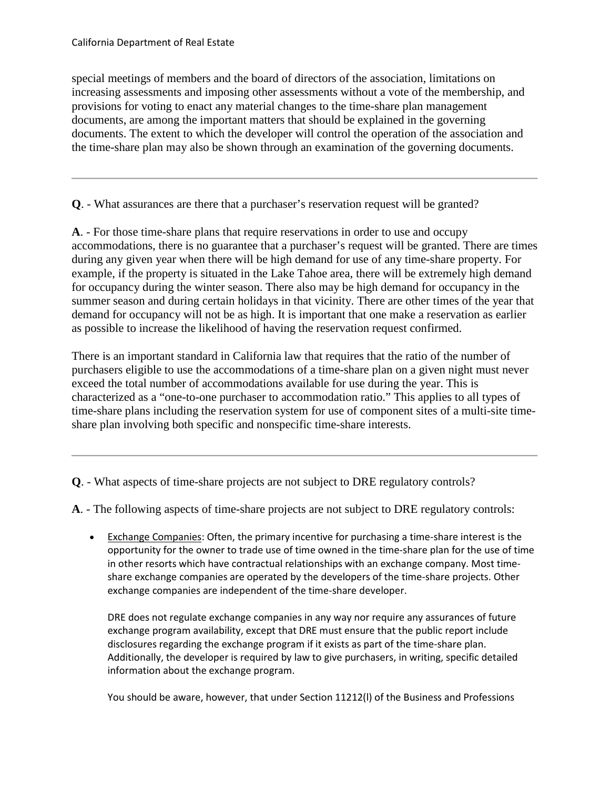special meetings of members and the board of directors of the association, limitations on increasing assessments and imposing other assessments without a vote of the membership, and provisions for voting to enact any material changes to the time-share plan management documents, are among the important matters that should be explained in the governing documents. The extent to which the developer will control the operation of the association and the time-share plan may also be shown through an examination of the governing documents.

**Q**. - What assurances are there that a purchaser's reservation request will be granted?

 demand for occupancy will not be as high. It is important that one make a reservation as earlier **A**. - For those time-share plans that require reservations in order to use and occupy accommodations, there is no guarantee that a purchaser's request will be granted. There are times during any given year when there will be high demand for use of any time-share property. For example, if the property is situated in the Lake Tahoe area, there will be extremely high demand for occupancy during the winter season. There also may be high demand for occupancy in the summer season and during certain holidays in that vicinity. There are other times of the year that as possible to increase the likelihood of having the reservation request confirmed.

 exceed the total number of accommodations available for use during the year. This is time-share plans including the reservation system for use of component sites of a multi-site time-There is an important standard in California law that requires that the ratio of the number of purchasers eligible to use the accommodations of a time-share plan on a given night must never characterized as a "one-to-one purchaser to accommodation ratio." This applies to all types of share plan involving both specific and nonspecific time-share interests.

**Q**. - What aspects of time-share projects are not subject to DRE regulatory controls?

**A**. - The following aspects of time-share projects are not subject to DRE regulatory controls:

 opportunity for the owner to trade use of time owned in the time-share plan for the use of time share exchange companies are operated by the developers of the time-share projects. Other • Exchange Companies: Often, the primary incentive for purchasing a time-share interest is the in other resorts which have contractual relationships with an exchange company. Most timeexchange companies are independent of the time-share developer.

 exchange program availability, except that DRE must ensure that the public report include DRE does not regulate exchange companies in any way nor require any assurances of future disclosures regarding the exchange program if it exists as part of the time-share plan. Additionally, the developer is required by law to give purchasers, in writing, specific detailed information about the exchange program.

You should be aware, however, that under Section 11212(l) of the Business and Professions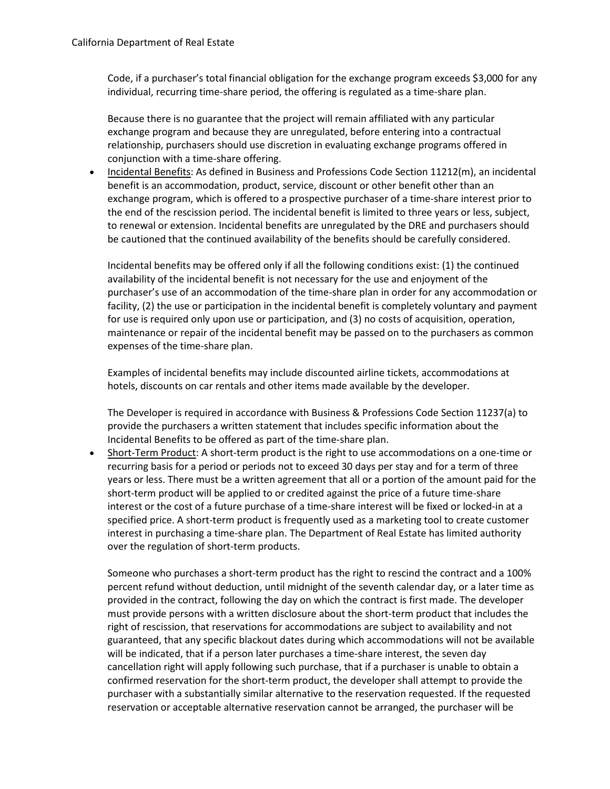individual, recurring time-share period, the offering is regulated as a time-share plan. Code, if a purchaser's total financial obligation for the exchange program exceeds \$3,000 for any

 relationship, purchasers should use discretion in evaluating exchange programs offered in Because there is no guarantee that the project will remain affiliated with any particular exchange program and because they are unregulated, before entering into a contractual conjunction with a time-share offering.

 to renewal or extension. Incidental benefits are unregulated by the DRE and purchasers should • Incidental Benefits: As defined in Business and Professions Code Section 11212(m), an incidental benefit is an accommodation, product, service, discount or other benefit other than an exchange program, which is offered to a prospective purchaser of a time-share interest prior to the end of the rescission period. The incidental benefit is limited to three years or less, subject, be cautioned that the continued availability of the benefits should be carefully considered.

 Incidental benefits may be offered only if all the following conditions exist: (1) the continued facility, (2) the use or participation in the incidental benefit is completely voluntary and payment maintenance or repair of the incidental benefit may be passed on to the purchasers as common availability of the incidental benefit is not necessary for the use and enjoyment of the purchaser's use of an accommodation of the time-share plan in order for any accommodation or for use is required only upon use or participation, and (3) no costs of acquisition, operation, expenses of the time-share plan.

Examples of incidental benefits may include discounted airline tickets, accommodations at hotels, discounts on car rentals and other items made available by the developer.

The Developer is required in accordance with Business & Professions Code Section 11237(a) to provide the purchasers a written statement that includes specific information about the Incidental Benefits to be offered as part of the time-share plan.

 recurring basis for a period or periods not to exceed 30 days per stay and for a term of three years or less. There must be a written agreement that all or a portion of the amount paid for the short-term product will be applied to or credited against the price of a future time-share interest or the cost of a future purchase of a time-share interest will be fixed or locked-in at a • Short-Term Product: A short-term product is the right to use accommodations on a one-time or specified price. A short-term product is frequently used as a marketing tool to create customer interest in purchasing a time-share plan. The Department of Real Estate has limited authority over the regulation of short-term products.

 Someone who purchases a short-term product has the right to rescind the contract and a 100% provided in the contract, following the day on which the contract is first made. The developer must provide persons with a written disclosure about the short-term product that includes the will be indicated, that if a person later purchases a time-share interest, the seven day cancellation right will apply following such purchase, that if a purchaser is unable to obtain a percent refund without deduction, until midnight of the seventh calendar day, or a later time as right of rescission, that reservations for accommodations are subject to availability and not guaranteed, that any specific blackout dates during which accommodations will not be available confirmed reservation for the short-term product, the developer shall attempt to provide the purchaser with a substantially similar alternative to the reservation requested. If the requested reservation or acceptable alternative reservation cannot be arranged, the purchaser will be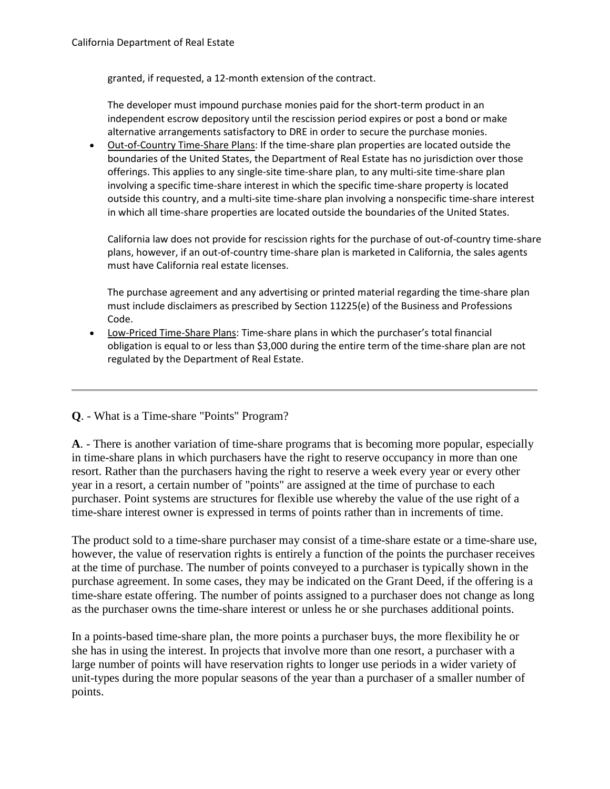granted, if requested, a 12-month extension of the contract.

 independent escrow depository until the rescission period expires or post a bond or make alternative arrangements satisfactory to DRE in order to secure the purchase monies. The developer must impound purchase monies paid for the short-term product in an

• Out-of-Country Time-Share Plans: If the time-share plan properties are located outside the offerings. This applies to any single-site time-share plan, to any multi-site time-share plan boundaries of the United States, the Department of Real Estate has no jurisdiction over those involving a specific time-share interest in which the specific time-share property is located outside this country, and a multi-site time-share plan involving a nonspecific time-share interest in which all time-share properties are located outside the boundaries of the United States.

California law does not provide for rescission rights for the purchase of out-of-country time-share plans, however, if an out-of-country time-share plan is marketed in California, the sales agents must have California real estate licenses.

 must include disclaimers as prescribed by Section 11225(e) of the Business and Professions The purchase agreement and any advertising or printed material regarding the time-share plan Code.

 regulated by the Department of Real Estate. • Low-Priced Time-Share Plans: Time-share plans in which the purchaser's total financial obligation is equal to or less than \$3,000 during the entire term of the time-share plan are not

## **Q**. - What is a Time-share "Points" Program?

 **A**. - There is another variation of time-share programs that is becoming more popular, especially resort. Rather than the purchasers having the right to reserve a week every year or every other time-share interest owner is expressed in terms of points rather than in increments of time. in time-share plans in which purchasers have the right to reserve occupancy in more than one year in a resort, a certain number of "points" are assigned at the time of purchase to each purchaser. Point systems are structures for flexible use whereby the value of the use right of a

 however, the value of reservation rights is entirely a function of the points the purchaser receives The product sold to a time-share purchaser may consist of a time-share estate or a time-share use, at the time of purchase. The number of points conveyed to a purchaser is typically shown in the purchase agreement. In some cases, they may be indicated on the Grant Deed, if the offering is a time-share estate offering. The number of points assigned to a purchaser does not change as long as the purchaser owns the time-share interest or unless he or she purchases additional points.

In a points-based time-share plan, the more points a purchaser buys, the more flexibility he or she has in using the interest. In projects that involve more than one resort, a purchaser with a large number of points will have reservation rights to longer use periods in a wider variety of unit-types during the more popular seasons of the year than a purchaser of a smaller number of points.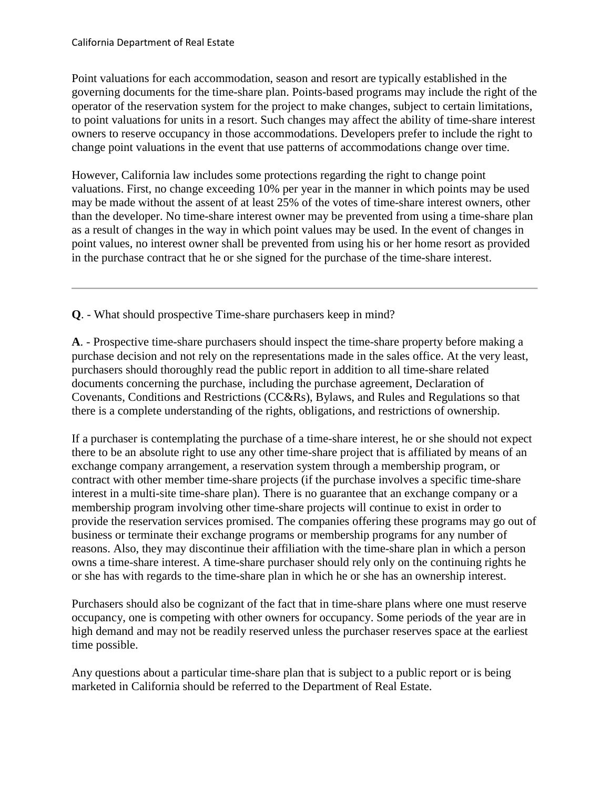to point valuations for units in a resort. Such changes may affect the ability of time-share interest Point valuations for each accommodation, season and resort are typically established in the governing documents for the time-share plan. Points-based programs may include the right of the operator of the reservation system for the project to make changes, subject to certain limitations, owners to reserve occupancy in those accommodations. Developers prefer to include the right to change point valuations in the event that use patterns of accommodations change over time.

However, California law includes some protections regarding the right to change point valuations. First, no change exceeding 10% per year in the manner in which points may be used may be made without the assent of at least 25% of the votes of time-share interest owners, other than the developer. No time-share interest owner may be prevented from using a time-share plan as a result of changes in the way in which point values may be used. In the event of changes in point values, no interest owner shall be prevented from using his or her home resort as provided in the purchase contract that he or she signed for the purchase of the time-share interest.

**Q**. - What should prospective Time-share purchasers keep in mind?

**A**. - Prospective time-share purchasers should inspect the time-share property before making a purchase decision and not rely on the representations made in the sales office. At the very least, purchasers should thoroughly read the public report in addition to all time-share related documents concerning the purchase, including the purchase agreement, Declaration of Covenants, Conditions and Restrictions (CC&Rs), Bylaws, and Rules and Regulations so that there is a complete understanding of the rights, obligations, and restrictions of ownership.

 there to be an absolute right to use any other time-share project that is affiliated by means of an provide the reservation services promised. The companies offering these programs may go out of If a purchaser is contemplating the purchase of a time-share interest, he or she should not expect exchange company arrangement, a reservation system through a membership program, or contract with other member time-share projects (if the purchase involves a specific time-share interest in a multi-site time-share plan). There is no guarantee that an exchange company or a membership program involving other time-share projects will continue to exist in order to business or terminate their exchange programs or membership programs for any number of reasons. Also, they may discontinue their affiliation with the time-share plan in which a person owns a time-share interest. A time-share purchaser should rely only on the continuing rights he or she has with regards to the time-share plan in which he or she has an ownership interest.

 occupancy, one is competing with other owners for occupancy. Some periods of the year are in Purchasers should also be cognizant of the fact that in time-share plans where one must reserve high demand and may not be readily reserved unless the purchaser reserves space at the earliest time possible.

Any questions about a particular time-share plan that is subject to a public report or is being marketed in California should be referred to the Department of Real Estate.